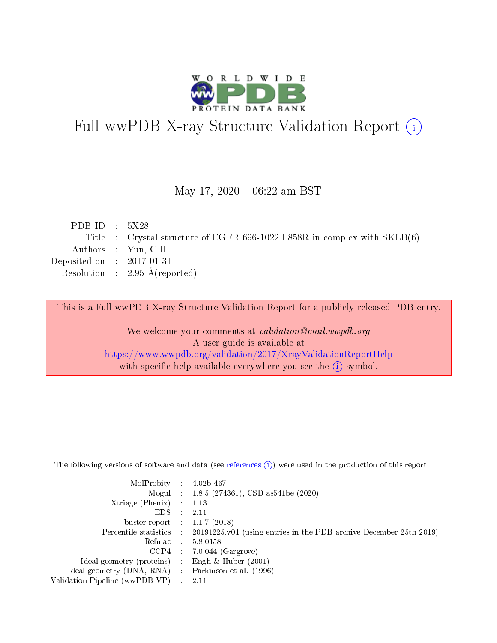

# Full wwPDB X-ray Structure Validation Report (i)

#### May 17,  $2020 - 06:22$  am BST

| PDB ID : $5X28$             |                                                                            |
|-----------------------------|----------------------------------------------------------------------------|
|                             | Title : Crystal structure of EGFR 696-1022 L858R in complex with $SKLB(6)$ |
|                             | Authors : Yun, C.H.                                                        |
| Deposited on : $2017-01-31$ |                                                                            |
|                             | Resolution : $2.95 \text{ Å}$ (reported)                                   |
|                             |                                                                            |

This is a Full wwPDB X-ray Structure Validation Report for a publicly released PDB entry.

We welcome your comments at validation@mail.wwpdb.org A user guide is available at <https://www.wwpdb.org/validation/2017/XrayValidationReportHelp> with specific help available everywhere you see the  $(i)$  symbol.

The following versions of software and data (see [references](https://www.wwpdb.org/validation/2017/XrayValidationReportHelp#references)  $(1)$ ) were used in the production of this report:

| $MolProbability$ 4.02b-467                          |               |                                                                                            |
|-----------------------------------------------------|---------------|--------------------------------------------------------------------------------------------|
|                                                     |               | Mogul : 1.8.5 (274361), CSD as 541be (2020)                                                |
| $Xtriangle (Phenix)$ : 1.13                         |               |                                                                                            |
| EDS -                                               | $\mathcal{L}$ | 2.11                                                                                       |
| buster-report : $1.1.7(2018)$                       |               |                                                                                            |
|                                                     |               | Percentile statistics : 20191225.v01 (using entries in the PDB archive December 25th 2019) |
| Refmac $5.8.0158$                                   |               |                                                                                            |
|                                                     |               | $CCP4$ : 7.0.044 (Gargrove)                                                                |
| Ideal geometry (proteins) :                         |               | Engh $\&$ Huber (2001)                                                                     |
| Ideal geometry (DNA, RNA) : Parkinson et al. (1996) |               |                                                                                            |
| Validation Pipeline (wwPDB-VP) : 2.11               |               |                                                                                            |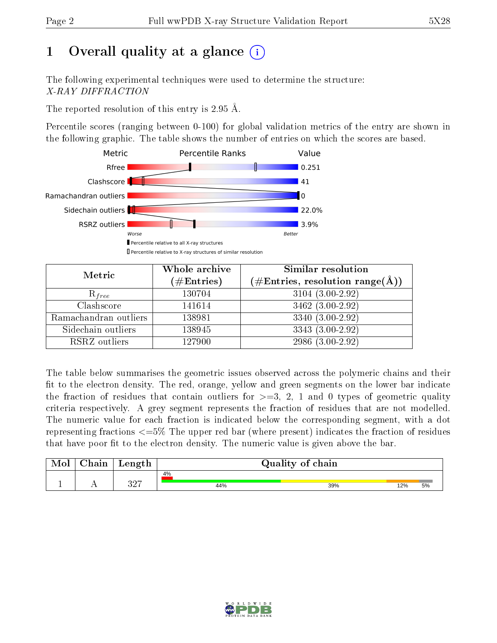# 1 [O](https://www.wwpdb.org/validation/2017/XrayValidationReportHelp#overall_quality)verall quality at a glance  $(i)$

The following experimental techniques were used to determine the structure: X-RAY DIFFRACTION

The reported resolution of this entry is 2.95 Å.

Percentile scores (ranging between 0-100) for global validation metrics of the entry are shown in the following graphic. The table shows the number of entries on which the scores are based.



| Metric                | Whole archive<br>$(\#\mathrm{Entries})$ | Similar resolution<br>$(\#\text{Entries},\, \text{resolution}\; \text{range}(\textup{\AA}))$ |  |  |
|-----------------------|-----------------------------------------|----------------------------------------------------------------------------------------------|--|--|
| $R_{free}$            | 130704                                  | $3104(3.00-2.92)$                                                                            |  |  |
| Clashscore            | 141614                                  | 3462 (3.00-2.92)                                                                             |  |  |
| Ramachandran outliers | 138981                                  | 3340 (3.00-2.92)                                                                             |  |  |
| Sidechain outliers    | 138945                                  | 3343 (3.00-2.92)                                                                             |  |  |
| RSRZ outliers         | 127900                                  | 2986 (3.00-2.92)                                                                             |  |  |

The table below summarises the geometric issues observed across the polymeric chains and their fit to the electron density. The red, orange, yellow and green segments on the lower bar indicate the fraction of residues that contain outliers for  $>=3, 2, 1$  and 0 types of geometric quality criteria respectively. A grey segment represents the fraction of residues that are not modelled. The numeric value for each fraction is indicated below the corresponding segment, with a dot representing fractions  $\epsilon=5\%$  The upper red bar (where present) indicates the fraction of residues that have poor fit to the electron density. The numeric value is given above the bar.

| Mol       | $\alpha$ hain | Length    | Quality of chain |     |     |    |  |
|-----------|---------------|-----------|------------------|-----|-----|----|--|
|           |               |           | 4%               |     |     |    |  |
| <u>д.</u> | . .           | חמפ<br>◡▵ | 44%              | 39% | 12% | 5% |  |

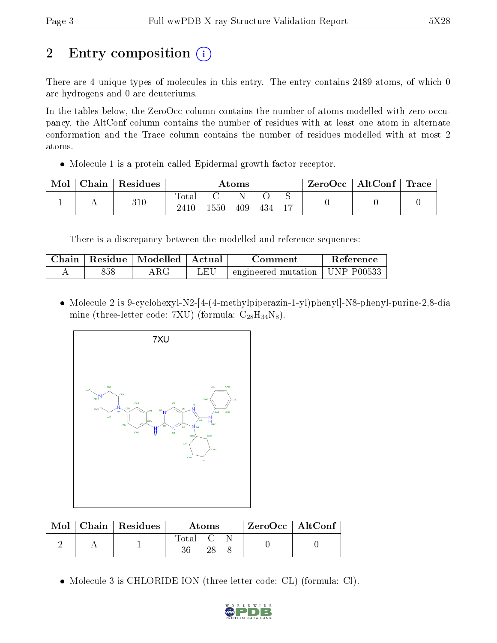# 2 Entry composition  $\left( \cdot \right)$

There are 4 unique types of molecules in this entry. The entry contains 2489 atoms, of which 0 are hydrogens and 0 are deuteriums.

In the tables below, the ZeroOcc column contains the number of atoms modelled with zero occupancy, the AltConf column contains the number of residues with at least one atom in alternate conformation and the Trace column contains the number of residues modelled with at most 2 atoms.

Molecule 1 is a protein called Epidermal growth factor receptor.

| Mol | Chain | Residues | $\rm{Atoms}$             |      |     |     | ZeroOcc             | $\mid$ AltConf $\mid$ | Trace |  |
|-----|-------|----------|--------------------------|------|-----|-----|---------------------|-----------------------|-------|--|
|     |       | 310      | $\mathrm{Total}$<br>2410 | ⊥550 | 409 | 434 | ∼<br>$\overline{1}$ |                       |       |  |

There is a discrepancy between the modelled and reference sequences:

| Chain | ' Residue | $\parallel$ Modelled $\parallel$ | ' Actual | Comment                                     | <b>Reference</b> |
|-------|-----------|----------------------------------|----------|---------------------------------------------|------------------|
|       | 858       |                                  | JΕU      | $\pm$ engineered mutation $\pm$ UNP P00533. |                  |

 Molecule 2 is 9-cyclohexyl-N2-[4-(4-methylpiperazin-1-yl)phenyl]-N8-phenyl-purine-2,8-dia mine (three-letter code: 7XU) (formula:  $C_{28}H_{34}N_8$ ).



|  | $\text{Mol}$   Chain   Residues | Atoms   |    |  | ZeroOcc   AltConf |  |
|--|---------------------------------|---------|----|--|-------------------|--|
|  |                                 | Total C | 28 |  |                   |  |

Molecule 3 is CHLORIDE ION (three-letter code: CL) (formula: Cl).

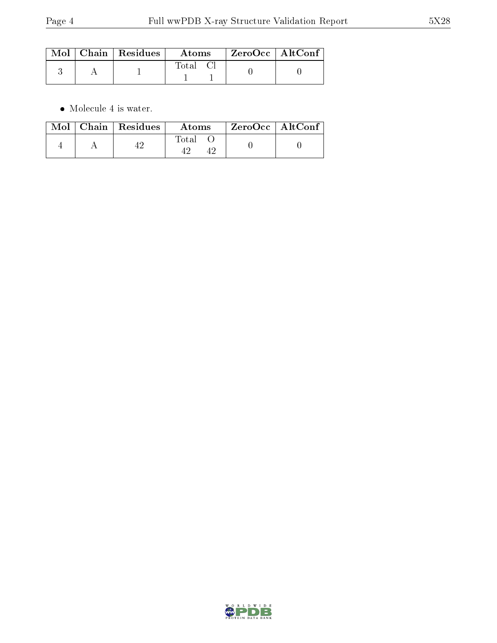|  | $\text{Mol}$   Chain   Residues | Atoms | $\mid$ ZeroOcc $\mid$ AltConf $\mid$ |  |
|--|---------------------------------|-------|--------------------------------------|--|
|  |                                 | Total |                                      |  |

 $\bullet\,$  Molecule 4 is water.

|  | $Mol$   Chain   Residues | Atoms | $\mid$ ZeroOcc $\mid$ Alt $\overline{\text{Conf}}$ $\mid$ |  |
|--|--------------------------|-------|-----------------------------------------------------------|--|
|  |                          | Total |                                                           |  |

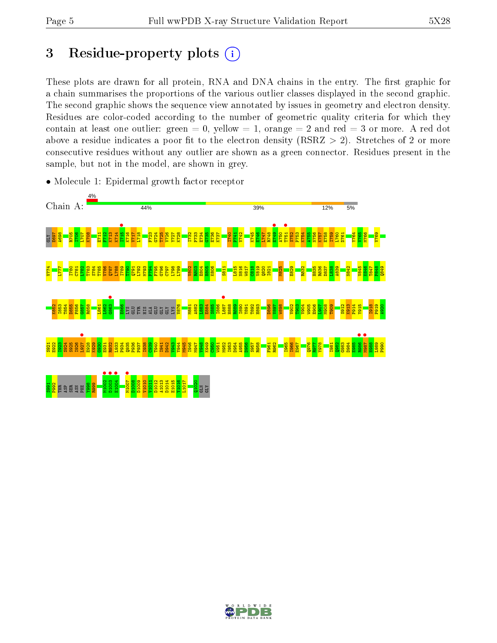# 3 Residue-property plots  $(i)$

These plots are drawn for all protein, RNA and DNA chains in the entry. The first graphic for a chain summarises the proportions of the various outlier classes displayed in the second graphic. The second graphic shows the sequence view annotated by issues in geometry and electron density. Residues are color-coded according to the number of geometric quality criteria for which they contain at least one outlier: green  $= 0$ , yellow  $= 1$ , orange  $= 2$  and red  $= 3$  or more. A red dot above a residue indicates a poor fit to the electron density (RSRZ  $> 2$ ). Stretches of 2 or more consecutive residues without any outlier are shown as a green connector. Residues present in the sample, but not in the model, are shown in grey.



• Molecule 1: Epidermal growth factor receptor

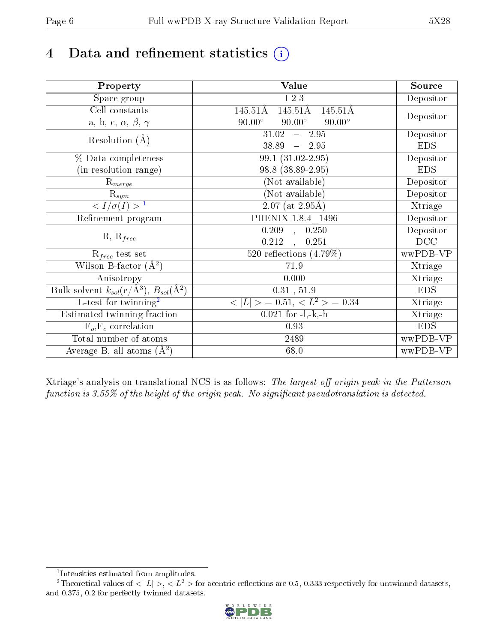# 4 Data and refinement statistics  $(i)$

| Property                                                      | Value                                           | Source     |
|---------------------------------------------------------------|-------------------------------------------------|------------|
| Space group                                                   | I 2 3                                           | Depositor  |
| Cell constants                                                | 145.51Å<br>145.51Å<br>$145.51\text{\AA}$        |            |
| a, b, c, $\alpha$ , $\beta$ , $\gamma$                        | $90.00^\circ$<br>$90.00^\circ$<br>$90.00^\circ$ | Depositor  |
| Resolution $(A)$                                              | 31.02<br>$-2.95$                                | Depositor  |
|                                                               | 38.89<br>2.95<br>$\frac{1}{2}$                  | <b>EDS</b> |
| % Data completeness                                           | 99.1 (31.02-2.95)                               | Depositor  |
| (in resolution range)                                         | 98.8 (38.89-2.95)                               | <b>EDS</b> |
| $R_{merge}$                                                   | (Not available)                                 | Depositor  |
| $\mathrm{R}_{sym}$                                            | (Not available)                                 | Depositor  |
| $\langle I/\sigma(I) \rangle^{-1}$                            | $\overline{2.07 \text{ (at } 2.95 \text{\AA})}$ | Xtriage    |
| Refinement program                                            | PHENIX 1.8.4 1496                               | Depositor  |
|                                                               | $\overline{0.209}$ ,<br>0.250                   | Depositor  |
| $R, R_{free}$                                                 | 0.212<br>0.251<br>$\mathbf{A}$                  | DCC        |
| $\mathcal{R}_{free}$ test set                                 | 520 reflections $(4.79\%)$                      | wwPDB-VP   |
| Wilson B-factor $(A^2)$                                       | 71.9                                            | Xtriage    |
| Anisotropy                                                    | 0.000                                           | Xtriage    |
| Bulk solvent $k_{sol}(e/\text{\AA}^3), B_{sol}(\text{\AA}^2)$ | 0.31, 51.9                                      | <b>EDS</b> |
| L-test for twinning <sup>2</sup>                              | $< L >$ = 0.51, $< L2$ > = 0.34                 | Xtriage    |
| Estimated twinning fraction                                   | $0.021$ for $-l,-k,-h$                          | Xtriage    |
| $F_o, F_c$ correlation                                        | 0.93                                            | <b>EDS</b> |
| Total number of atoms                                         | 2489                                            | wwPDB-VP   |
| Average B, all atoms $(A^2)$                                  | 68.0                                            | wwPDB-VP   |

Xtriage's analysis on translational NCS is as follows: The largest off-origin peak in the Patterson function is  $3.55\%$  of the height of the origin peak. No significant pseudotranslation is detected.

<sup>&</sup>lt;sup>2</sup>Theoretical values of  $\langle |L| \rangle$ ,  $\langle L^2 \rangle$  for acentric reflections are 0.5, 0.333 respectively for untwinned datasets, and 0.375, 0.2 for perfectly twinned datasets.



<span id="page-5-1"></span><span id="page-5-0"></span><sup>1</sup> Intensities estimated from amplitudes.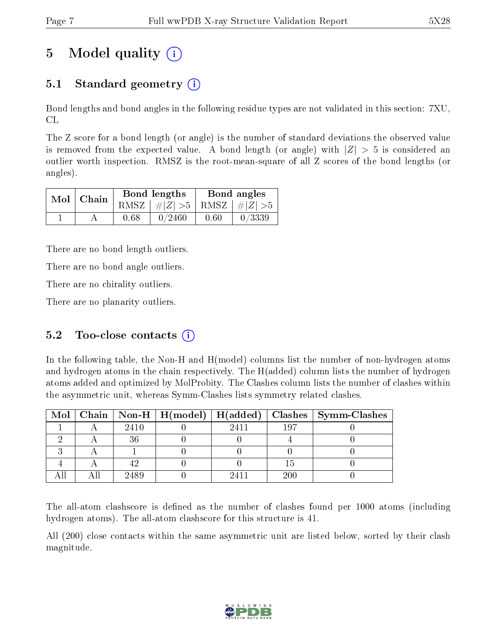# 5 Model quality  $(i)$

## 5.1 Standard geometry  $\overline{()}$

Bond lengths and bond angles in the following residue types are not validated in this section: 7XU, CL

The Z score for a bond length (or angle) is the number of standard deviations the observed value is removed from the expected value. A bond length (or angle) with  $|Z| > 5$  is considered an outlier worth inspection. RMSZ is the root-mean-square of all Z scores of the bond lengths (or angles).

| $Mol$   Chain |      | Bond lengths                    | Bond angles |        |  |
|---------------|------|---------------------------------|-------------|--------|--|
|               |      | RMSZ $ #Z  > 5$ RMSZ $ #Z  > 5$ |             |        |  |
|               | 0.68 | 0/2460                          | 0.60        | 0/3339 |  |

There are no bond length outliers.

There are no bond angle outliers.

There are no chirality outliers.

There are no planarity outliers.

#### 5.2 Too-close contacts  $(i)$

In the following table, the Non-H and H(model) columns list the number of non-hydrogen atoms and hydrogen atoms in the chain respectively. The H(added) column lists the number of hydrogen atoms added and optimized by MolProbity. The Clashes column lists the number of clashes within the asymmetric unit, whereas Symm-Clashes lists symmetry related clashes.

|  |      |      |     | Mol   Chain   Non-H   H(model)   H(added)   Clashes   Symm-Clashes |
|--|------|------|-----|--------------------------------------------------------------------|
|  | 2410 | 2411 | 197 |                                                                    |
|  |      |      |     |                                                                    |
|  |      |      |     |                                                                    |
|  |      |      |     |                                                                    |
|  | 2489 |      | 200 |                                                                    |

The all-atom clashscore is defined as the number of clashes found per 1000 atoms (including hydrogen atoms). The all-atom clashscore for this structure is 41.

All (200) close contacts within the same asymmetric unit are listed below, sorted by their clash magnitude.

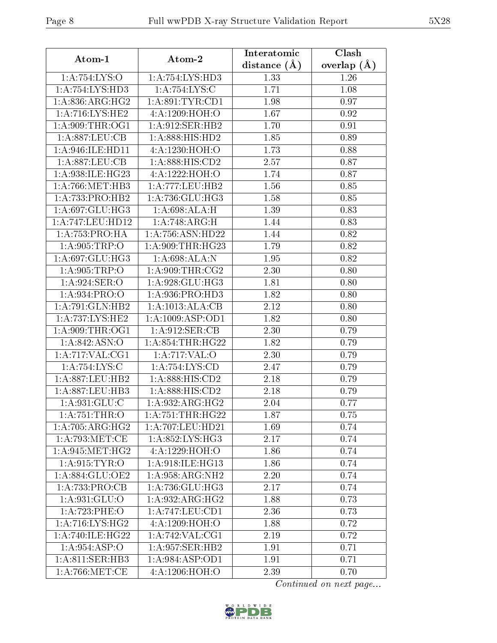| Atom-1                       | Atom-2                                 | Interatomic       | Clash         |  |
|------------------------------|----------------------------------------|-------------------|---------------|--|
|                              |                                        | distance $(\AA)$  | overlap $(A)$ |  |
| 1:A:754:LYS:O                | 1: A: 754: LYS: HD3                    | 1.33              | 1.26          |  |
| 1: A: 754: LYS: HD3          | 1:A:754:LYS:C                          | 1.71              | 1.08          |  |
| 1: A:836:ARG:HG2             | 1: A:891:TYR:CD1                       | 1.98              | 0.97          |  |
| 1:A:716:LYS:HE2              | 4:A:1209:HOH:O                         | 1.67              | 0.92          |  |
| 1: A:909:THR:OG1             | 1: A:912: SER: HB2                     | 1.70              | 0.91          |  |
| 1: A:887:LEU:CB              | 1:A:888:HIS:HD2                        | 1.85              | 0.89          |  |
| 1: A:946: ILE: HD11          | 4: A: 1230: HOH:O                      | 1.73              | 0.88          |  |
| 1:A:887:LEU:CB               | 1:A:888:HIS:CD2                        | 2.57              | 0.87          |  |
| 1: A:938: ILE: HG23          | 4:A:1222:HOH:O                         | 1.74              | 0.87          |  |
| 1: A:766:MET:HB3             | 1: A:777:LEU:HB2                       | 1.56              | 0.85          |  |
| 1:A:733:PRO:HB2              | 1:A:736:GLU:HG3                        | 1.58              | 0.85          |  |
| 1: A:697: GLU:HG3            | 1: A:698:ALA:H                         | 1.39              | 0.83          |  |
| 1:A:747:LEU:HD12             | 1:A:748:ARG:H                          | 1.44              | 0.83          |  |
| 1:A:753:PRO:HA               | 1:A:756:ASN:HD22                       | 1.44              | 0.82          |  |
| 1: A:905:TRP:O               | 1:A:909:THR:HG23                       | 1.79              | 0.82          |  |
| 1:A:697:GLU:HG3              | 1:A:698:ALA:N                          | 1.95              | 0.82          |  |
| 1: A:905:TRP:O               | 1: A:909:THR:CG2                       | 2.30              | 0.80          |  |
| 1:A:924:SER:O                | 1:A:928:GLU:HG3                        | 1.81              | 0.80          |  |
| 1:A:934:PRO:O                | 1:A:936:PRO:HD3                        | 1.82              | 0.80          |  |
| 1:A:791:GLN:HB2              | 1:A:1013:ALA:CB                        | 2.12              | 0.80          |  |
| 1: A: 737: LYS: HE2          | 1:A:1009:ASP:OD1                       | 1.82              | 0.80          |  |
| 1: A:909:THR:OG1             | 1: A:912: SER: CB                      | 2.30              | 0.79          |  |
| 1: A:842: ASN:O              | 1: A:854:THR:HG22                      | 1.82              | 0.79          |  |
| 1:A:717:VAL:CG1              | 1:A:717:VAL:O                          | 2.30              | 0.79          |  |
| 1:A:754:LYS:C                | 1:A:754:LYS:CD                         | $\overline{2}.47$ | 0.79          |  |
| 1: A:887:LEU:HB2             | 1: A:888: HIS:CD2                      | 2.18              | 0.79          |  |
| 1:A:887:LEU:HB3              | $1: A:888: \overline{HIS:CD2}$         | 2.18              | 0.79          |  |
| $1: A:931: \overline{GLU:C}$ | 1: A:932:ARG:HG2                       | 2.04              | 0.77          |  |
| 1: A:751:THR:O               | 1: A: 751:THR: HG22                    | 1.87              | 0.75          |  |
| 1:A:705:ARG:HG2              | 1:A:707:LEU:HD21                       | 1.69              | 0.74          |  |
| 1: A:793:MET:CE              | 1: A:852:LYS:HG3                       | 2.17              | 0.74          |  |
| 1: A:945: MET:HG2            | 4:A:1229:HOH:O                         | 1.86              | 0.74          |  |
| 1: A.915: TYR: O             | 1: A:918: ILE: HG13                    | 1.86              | 0.74          |  |
| 1:A:884:GLU:OE2              | 1:A:958:ARG:NH2                        | 2.20              | 0.74          |  |
| 1:A:733:PRO:CB               | 1:A:736:GLU:HG3                        | 2.17              | 0.74          |  |
| 1: A:931: GLU:O              | 1:A:932:ARG:HG2                        | 1.88              | 0.73          |  |
| 1:A:723:PHE:O                | 1:A:747:LEU:CD1                        | 2.36              | 0.73          |  |
| 1: A:716: LYS: HG2           | 4:A:1209:HOH:O                         | 1.88              | 0.72          |  |
| 1: A:740: ILE:HG22           | $1:\!A:\!742:\!V\!A\overline{L:\!CG1}$ | 2.19              | 0.72          |  |
| 1: A:954: ASP:O              | 1:A:957:SER:HB2                        | 1.91              | 0.71          |  |
| 1: A:811: SER:HB3            | 1: A:984: ASP:OD1                      | 1.91              | 0.71          |  |
| 1: A:766:MET:CE              | 4:A:1206:HOH:O                         | 2.39              | 0.70          |  |

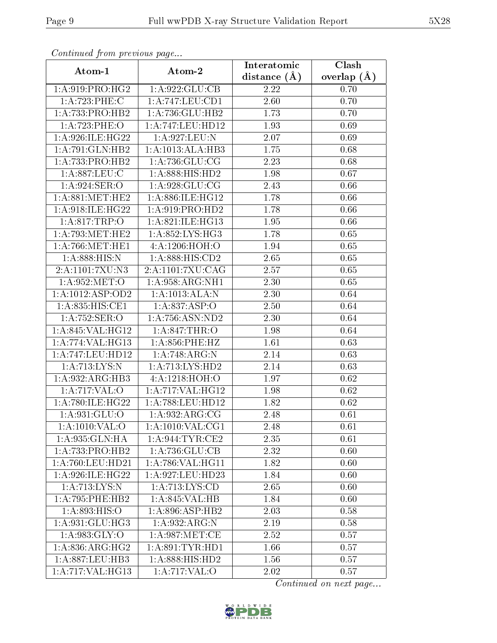| Continually from providuo pugo |                                              | Interatomic    | $\overline{\text{Clash}}$ |
|--------------------------------|----------------------------------------------|----------------|---------------------------|
| Atom-1                         | Atom-2                                       | distance $(A)$ | overlap $(A)$             |
| 1: A:919: PRO:HG2              | 1:A:922:GLU:CB                               | 2.22           | 0.70                      |
| 1:A:723:PHE:C                  | 1:A:747:LEU:CD1                              | 2.60           | 0.70                      |
| 1:A:733:PRO:HB2                | 1:A:736:GLU:HB2                              | 1.73           | 0.70                      |
| 1:A:723:PHE:O                  | 1:A:747:LEU:HD12                             | 1.93           | 0.69                      |
| 1: A:926: ILE: HG22            | 1: A:927: LEU: N                             | 2.07           | 0.69                      |
| 1:A:791:GLN:HB2                | 1:A:1013:ALA:HB3                             | 1.75           | 0.68                      |
| 1:A:733:PRO:HB2                | 1: A: 736: GLU: CG                           | 2.23           | 0.68                      |
| 1: A:887:LEU: C                | 1:A:888:HIS:HD2                              | 1.98           | 0.67                      |
| 1:A:924:SER:O                  | 1: A:928: GLU:CG                             | 2.43           | 0.66                      |
| 1: A:881: MET:HE2              | 1:A:886:ILE:HG12                             | 1.78           | 0.66                      |
| 1: A:918: ILE:HG22             | 1: A:919: PRO:HD2                            | 1.78           | 0.66                      |
| 1: A:817:TRP:O                 | 1:A:821:ILE:HG13                             | 1.95           | 0.66                      |
| 1: A:793:MET:HE2               | 1: A:852: LYS: HG3                           | 1.78           | 0.65                      |
| 1: A:766:MET:HE1               | 4:A:1206:HOH:O                               | 1.94           | 0.65                      |
| 1: A:888:HIS:N                 | 1:A:888:HIS:CD2                              | 2.65           | 0.65                      |
| 2:A:1101:7XU:N3                | 2:A:1101:7XU:CAG                             | 2.57           | 0.65                      |
| 1: A:952: MET:O                | 1: A:958: ARG:NH1                            | 2.30           | 0.65                      |
| 1:A:1012:ASP:OD2               | 1:A:1013:ALA:N                               | 2.30           | 0.64                      |
| 1:A:835:HIS:CE1                | 1:A:837:ASP:O                                | 2.50           | 0.64                      |
| 1: A:752: SER:O                | 1:A:756:ASN:ND2                              | 2.30           | 0.64                      |
| 1:A:845:VAL:HG12               | 1:A:847:THR:O                                | 1.98           | 0.64                      |
| 1:A:774:VAL:HG13               | 1:A:856:PHE:HZ                               | 1.61           | 0.63                      |
| 1:A:747:LEU:HD12               | 1:A:748:ARG:N                                | 2.14           | 0.63                      |
| 1: A:713: LYS:N                | 1:A:713:LYS:HD2                              | 2.14           | 0.63                      |
| 1:A:932:ARG:HB3                | 4: A: 1218: HOH:O                            | 1.97           | 0.62                      |
| 1:A:717:VAL:O                  | 1:A:717:VAL:HG12                             | 1.98           | 0.62                      |
| 1: A:780: ILE:HG22             | 1:A:788:LEU:HD12                             | 1.82           | 0.62                      |
| 1: A:931: GLU:O                | 1:A:932:ARG:CG                               | 2.48           | 0.61                      |
| 1: A: 1010: VAL: O             | 1:A:1010:VAL:CG1                             | 2.48           | 0.61                      |
| 1:A:935:GLN:HA                 | 1:A:944:TYR:CE2                              | 2.35           | 0.61                      |
| 1:A:733:PRO:HB2                | 1: A:736: GLU:CB                             | 2.32           | 0.60                      |
| 1:A:760:LEU:HD21               | 1:A:786:VAL:HG11                             | 1.82           | 0.60                      |
| 1:A:926:ILE:HG22               | 1:A:927:LEU:HD23                             | 1.84           | 0.60                      |
| 1: A:713: LYS:N                | 1: A:713: LYS:CD                             | 2.65           | 0.60                      |
| 1: A:795: PHE:HB2              | 1:A:845:VAL:HB                               | 1.84           | 0.60                      |
| 1:A:893:HIS:O                  | $1: A:896: \overline{\text{ASP}:\text{HB2}}$ | 2.03           | 0.58                      |
| 1: A:931: GLU:HG3              | 1:A.932:ARG:N                                | 2.19           | 0.58                      |
| 1: A:983: GLY:O                | 1: A:987: MET:CE                             | 2.52           | 0.57                      |
| $1:A:836:AR\overline{G:HG2}$   | 1: A:891:TYR:HD1                             | 1.66           | 0.57                      |
| 1:A:887:LEU:HB3                | 1:A:888:HIS:HD2                              | 1.56           | 0.57                      |
| 1:A:717:VAL:HG13               | 1: A:717: VAL:O                              | 2.02           | 0.57                      |

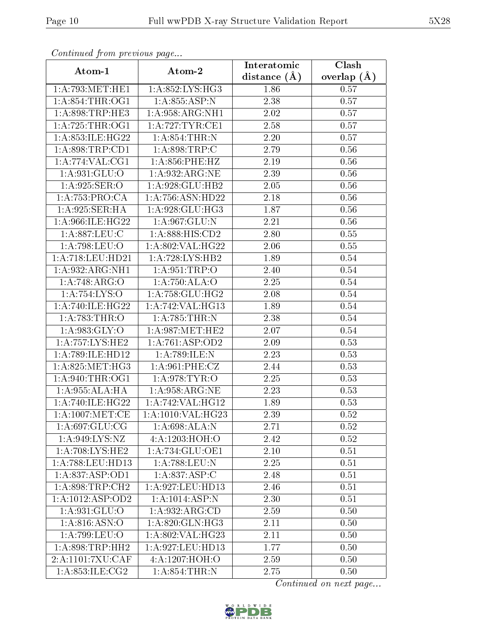| Continued from previous page |                     | Interatomic       | Clash         |  |
|------------------------------|---------------------|-------------------|---------------|--|
| Atom-1                       | Atom-2              | distance $(A)$    | overlap $(A)$ |  |
| 1: A:793:MET:HE1             | 1:A:852:LYS:HG3     | 1.86              | 0.57          |  |
| 1: A:854:THR:OG1             | 1: A:855: ASP:N     | 2.38              | 0.57          |  |
| 1: A:898:TRP:HE3             | 1: A:958: ARG:NH1   | 2.02              | 0.57          |  |
| 1: A:725:THR:OG1             | 1:A:727:TYR:CE1     | 2.58              | 0.57          |  |
| 1: A:853: ILE:HG22           | 1: A:854:THR:N      | 2.20              | 0.57          |  |
| 1: A:898:TRP:CD1             | 1: A:898:TRP:C      | 2.79              | 0.56          |  |
| 1:A:774:VAL:CG1              | 1: A:856:PHE:HZ     | 2.19              | 0.56          |  |
| 1: A:931: GLU:O              | 1: A:932:ARG:NE     | 2.39              | 0.56          |  |
| 1: A:925: SER:O              | 1:A:928:GLU:HB2     | 2.05              | 0.56          |  |
| 1: A: 753: PRO:CA            | 1:A:756:ASN:HD22    | 2.18              | 0.56          |  |
| 1:A:925:SER:HA               | 1:A:928:GLU:HG3     | 1.87              | 0.56          |  |
| 1:A:966:ILE:HG22             | 1: A:967: GLU:N     | 2.21              | 0.56          |  |
| 1:A:887:LEU:C                | 1: A:888: HIS: CD2  | 2.80              | 0.55          |  |
| 1:A:798:LEU:O                | 1: A:802:VAL:HG22   | 2.06              | 0.55          |  |
| 1:A:718:LEU:HD21             | 1:A:728:LYS:HB2     | 1.89              | 0.54          |  |
| 1:A:932:ARG:NH1              | 1:A:951:TRP:O       | 2.40              | 0.54          |  |
| 1:A:748:ARG:O                | 1:A:750:ALA:O       | 2.25              | 0.54          |  |
| 1:A:754:LYS:O                | 1: A: 758: GLU: HG2 | 2.08              | 0.54          |  |
| 1: A:740: ILE:HG22           | 1:A:742:VAL:HG13    | 1.89              | 0.54          |  |
| 1: A:783:THR:O               | 1:A:785:THR:N       | 2.38              | 0.54          |  |
| 1: A:983: GLY:O              | 1: A:987: MET:HE2   | 2.07              | 0.54          |  |
| 1: A: 757: LYS: HE2          | 1: A:761: ASP:OD2   | $2.09\,$          | 0.53          |  |
| 1:A:789:ILE:HD12             | 1:A:789:ILE:N       | 2.23              | 0.53          |  |
| 1: A:825: MET:HG3            | 1: A:961:PHE:CZ     | 2.44              | 0.53          |  |
| 1: A:940:THR:OG1             | 1:A:978:TYR:O       | 2.25              | 0.53          |  |
| 1:A:955:ALA:HA               | 1: A:958: ARG:NE    | $\overline{2}.23$ | 0.53          |  |
| 1: A:740: ILE:HG22           | 1:A:742:VAL:HG12    | 1.89              | 0.53          |  |
| 1: A:1007: MET:CE            | 1:A:1010:VAL:HG23   | 2.39              | 0.52          |  |
| 1: A:697: GLU:CG             | 1: A:698:ALA:N      | 2.71              | 0.52          |  |
| 1: A:949: LYS: NZ            | 4:A:1203:HOH:O      | 2.42              | 0.52          |  |
| 1:A:708:LYS:HE2              | 1:A:734:GLU:OE1     | 2.10              | 0.51          |  |
| 1:A:788:LEU:HD13             | 1:A:788:LEU:N       | 2.25              | 0.51          |  |
| 1: A:837: ASP:OD1            | 1:A:837:ASP:C       | 2.48              | 0.51          |  |
| 1: A:898:TRP:CH2             | 1:A:927:LEU:HD13    | 2.46              | 0.51          |  |
| 1: A: 1012: ASP: OD2         | 1:A:1014:ASP:N      | 2.30              | 0.51          |  |
| 1: A:931: GLU:O              | 1:A:932:ARG:CD      | 2.59              | 0.50          |  |
| 1: A:816: ASN:O              | 1: A:820: GLN: HG3  | 2.11              | 0.50          |  |
| 1:A:799:LEU:O                | 1:A:802:VAL:HG23    | 2.11              | 0.50          |  |
| 1: A:898:TRP:HH2             | 1:A:927:LEU:HD13    | 1.77              | 0.50          |  |
| 2:A:1101:7XU:CAF             | 4:A:1207:HOH:O      | 2.59              | 0.50          |  |
| 1: A.353: ILE: CG2           | 1: A:854:THR:N      | 2.75              | 0.50          |  |

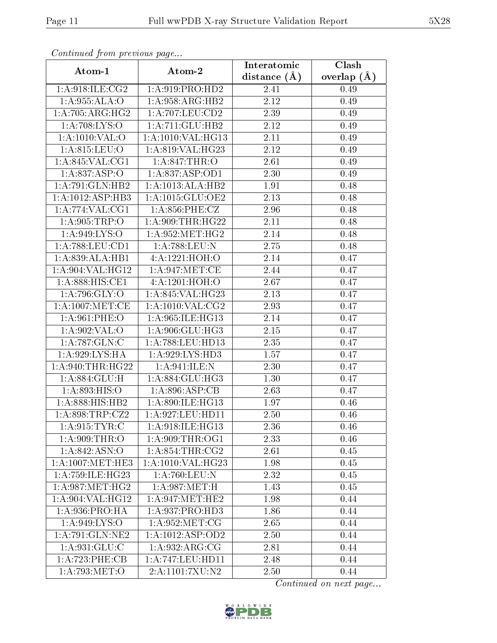| Continuou jiom protivus pago |                                | Interatomic    | Clash         |  |
|------------------------------|--------------------------------|----------------|---------------|--|
| Atom-1                       | Atom-2                         | distance $(A)$ | overlap $(A)$ |  |
| 1: A:918: ILE: CG2           | 1: A:919: PRO:HD2              | 2.41           | 0.49          |  |
| 1:A:955:ALA:O                | 1:A:958:ARG:HB2                | 2.12           | 0.49          |  |
| $1:A:705:ARG:H\overline{G2}$ | 1: A:707:LEU:CD2               | 2.39           | 0.49          |  |
| 1: A:708: LYS:O              | 1:A:711:GLU:HB2                | 2.12           | 0.49          |  |
| 1: A: 1010: VAL: O           | $1:A:1010:\overline{VAL:HG13}$ | 2.11           | 0.49          |  |
| 1: A:815: LEU:O              | 1:A:819:VAL:HG23               | 2.12           | 0.49          |  |
| 1: A:845: VAL:CG1            | 1: A.847:THR:O                 | 2.61           | 0.49          |  |
| 1:A:837:ASP:O                | 1: A:837: ASP:OD1              | 2.30           | 0.49          |  |
| 1:A:791:GLN:HB2              | 1:A:1013:ALA:HB2               | 1.91           | 0.48          |  |
| 1:A:1012:ASP:HB3             | 1:A:1015:GLU:OE2               | 2.13           | 0.48          |  |
| 1:A:774:VAL:CG1              | 1: A:856: PHE: CZ              | 2.96           | 0.48          |  |
| 1: A:905:TRP:O               | 1: A:909:THR:HG22              | 2.11           | 0.48          |  |
| 1: A:949: LYS:O              | 1: A:952:MET:HG2               | 2.14           | 0.48          |  |
| 1: A:788:LEU:CD1             | 1:A:788:LEU:N                  | 2.75           | 0.48          |  |
| 1:A:839:ALA:HB1              | 4:A:1221:HOH:O                 | 2.14           | 0.47          |  |
| 1: A:904: VAL:HG12           | 1: A:947: MET:CE               | 2.44           | 0.47          |  |
| 1:A:888:HIS:CE1              | 4:A:1201:HOH:O                 | 2.67           | 0.47          |  |
| 1: A:796: GLY:O              | 1:A:845:VAL:HG23               | 2.13           | 0.47          |  |
| 1: A:1007: MET:CE            | 1:A:1010:VAL:CG2               | 2.93           | 0.47          |  |
| 1: A:961:PHE:O               | 1: A:965: ILE: HG13            | 2.14           | 0.47          |  |
| 1: A:902: VAL:O              | 1:A:906:GLU:HG3                | 2.15           | 0.47          |  |
| 1: A:787: GLN: C             | 1:A:788:LEU:HD13               | 2.35           | 0.47          |  |
| 1:A:929:LYS:HA               | 1: A:929: LYS: HD3             | 1.57           | 0.47          |  |
| 1: A:940:THR:HG22            | 1: A:941: ILE:N                | 2.30           | 0.47          |  |
| 1: A:884: GLU: H             | 1:A:884:GLU:HG3                | 1.30           | 0.47          |  |
| 1: A:893: HIS:O              | 1: A:896: ASP:CB               | 2.63           | 0.47          |  |
| 1:A:888:HIS:HB2              | 1:A:890:ILE:HG13               | 1.97           | 0.46          |  |
| 1: A:898:TRP: CZ2            | 1:A:927:LEU:HD11               | 2.50           | 0.46          |  |
| 1: A:915: TYR: C             | 1:A:918:ILE:HG13               | 2.36           | 0.46          |  |
| 1: A:909:THR:O               | 1: A:909:THR:OG1               | 2.33           | 0.46          |  |
| 1:A:842:ASN:O                | 1: A:854:THR:CG2               | 2.61           | 0.45          |  |
| $1: A: 1007$ : MET: HE3      | 1:A:1010:VAL:HG23              | 1.98           | 0.45          |  |
| 1: A:759: ILE:HG23           | 1:A:760:LEU:N                  | 2.32           | 0.45          |  |
| 1: A:987:MET:HG2             | 1: A:987: MET:H                | 1.43           | 0.45          |  |
| 1: A:904: VAL:HG12           | 1: A:947: MET:HE2              | 1.98           | 0.44          |  |
| 1: A:936: PRO:HA             | 1:A:937:PRO:HD3                | 1.86           | 0.44          |  |
| 1: A:949: LYS:O              | 1: A:952:MET:CG                | 2.65           | 0.44          |  |
| 1: A:791: GLN: NE2           | 1:A:1012:ASP:OD2               | 2.50           | 0.44          |  |
| 1:A:931:GLU:C                | 1: A:932: ARG: CG              | 2.81           | 0.44          |  |
| 1:A:723:PHE:CB               | 1:A:747:LEU:HD11               | 2.48           | 0.44          |  |
| 1:A:793:MET:O                | 2:A:1101:7XU:N2                | 2.50           | 0.44          |  |

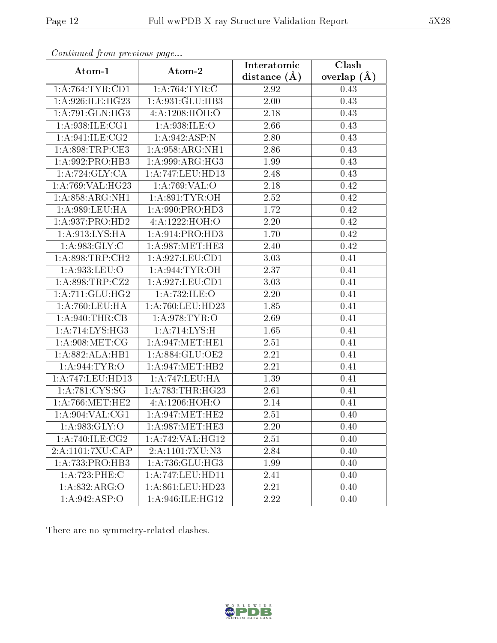| Continuation providuo puga      |                                | Interatomic       | Clash         |
|---------------------------------|--------------------------------|-------------------|---------------|
| Atom-1                          | Atom-2                         | distance $(A)$    | overlap $(A)$ |
| 1: A:764:TYR:CD1                | 1: A:764:TYR:C                 | 2.92              | 0.43          |
| 1: A:926: ILE:HG23              | 1:A:931:GLU:HB3                | 2.00              | 0.43          |
| 1:A:791:GLN:HG3                 | 4: A: 1208: HOH:O              | 2.18              | 0.43          |
| 1:A:938:ILE:CG1                 | 1:A:938:ILE:O                  | 2.66              | 0.43          |
| 1: A:941: ILE: CG2              | 1:A:942:ASP:N                  | 2.80              | 0.43          |
| 1: A:898:TRP:CE3                | 1: A:958: ARG:NH1              | 2.86              | 0.43          |
| 1:A:992:PRO:HB3                 | $1: A:999: \overline{ARG:H}G3$ | 1.99              | 0.43          |
| 1:A:724:GLY:CA                  | 1:A:747:LEU:HD13               | 2.48              | 0.43          |
| 1:A:769:VAL:HG23                | 1:A:769:VAL:O                  | 2.18              | 0.42          |
| 1: A:858: ARG:NH1               | 1: A:891: TYR:OH               | 2.52              | 0.42          |
| 1:A:989:LEU:HA                  | 1:A:990:PRO:HD3                | 1.72              | 0.42          |
| 1:A:937:PRO:HD2                 | 4:A:1222:HOH:O                 | 2.20              | 0.42          |
| 1:A:913:LYS:HA                  | 1:A:914:PRO:HD3                | 1.70              | 0.42          |
| 1: A:983: GLY: C                | 1: A:987: MET:HE3              | 2.40              | 0.42          |
| 1:A:898:TRP:CH2                 | 1:A:927:LEU:CD1                | 3.03              | 0.41          |
| 1:A:933:LEU:O                   | 1: A:944: TYR: OH              | 2.37              | 0.41          |
| 1: A:898:TRP:CZ2                | 1: A:927: LEU: CD1             | $\overline{3}.03$ | 0.41          |
| 1: A:711: GLU: HG2              | 1:A:732:ILE:O                  | 2.20              | 0.41          |
| 1: A:760:LEU:HA                 | 1:A:760:LEU:HD23               | 1.85              | 0.41          |
| 1: A:940:THR:CB                 | 1: A:978: TYR:O                | 2.69              | 0.41          |
| $1: A:714: LYS: \overline{HG3}$ | 1:A:714:LYS:H                  | 1.65              | 0.41          |
| 1: A:908: MET:CG                | 1: A:947: MET:HE1              | 2.51              | 0.41          |
| 1:A:882:ALA:HB1                 | 1:A:884:GLU:OE2                | 2.21              | 0.41          |
| 1: A:944: TYR: O                | 1: A:947:MET:HB2               | 2.21              | 0.41          |
| 1:A:747:LEU:HD13                | 1:A:747:LEU:HA                 | 1.39              | 0.41          |
| 1: A:781:CYS:SG                 | 1: A:783:THR:HG23              | 2.61              | 0.41          |
| 1: A:766:MET:HE2                | 4:A:1206:HOH:O                 | 2.14              | 0.41          |
| 1: A:904: VAL:CG1               | 1: A:947: MET:HE2              | 2.51              | 0.40          |
| 1: A:983: GLY:O                 | 1: A:987: MET:HE3              | 2.20              | 0.40          |
| 1:A:740:ILE:CG2                 | 1:A:742:VAL:HG12               | 2.51              | 0.40          |
| 2:A:1101:7XU:CAP                | 2:A:1101:7XU:N3                | 2.84              | 0.40          |
| 1:A:733:PRO:HB3                 | 1:A:736:GLU:HG3                | 1.99              | 0.40          |
| 1:A:723:PHE:C                   | 1:A:747:LEU:HD11               | 2.41              | 0.40          |
| 1:A:832:ARG:O                   | 1:A:861:LEU:HD23               | 2.21              | 0.40          |
| 1: A:942: ASP:O                 | 1:A:946:ILE:HG12               | 2.22              | 0.40          |

There are no symmetry-related clashes.

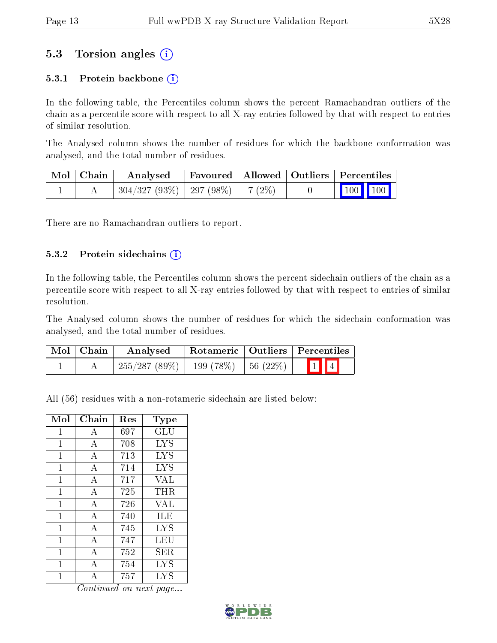### 5.3 Torsion angles (i)

#### 5.3.1 Protein backbone  $(i)$

In the following table, the Percentiles column shows the percent Ramachandran outliers of the chain as a percentile score with respect to all X-ray entries followed by that with respect to entries of similar resolution.

The Analysed column shows the number of residues for which the backbone conformation was analysed, and the total number of residues.

| Mol   Chain | Analysed                                | Favoured   Allowed   Outliers   Percentiles |  |                                                              |  |
|-------------|-----------------------------------------|---------------------------------------------|--|--------------------------------------------------------------|--|
|             | $304/327 (93\%)$   297 (98\%)   7 (2\%) |                                             |  | $\begin{array}{ c c c c c }\n\hline\n100 & 100\n\end{array}$ |  |

There are no Ramachandran outliers to report.

#### 5.3.2 Protein sidechains (i)

In the following table, the Percentiles column shows the percent sidechain outliers of the chain as a percentile score with respect to all X-ray entries followed by that with respect to entries of similar resolution.

The Analysed column shows the number of residues for which the sidechain conformation was analysed, and the total number of residues.

| Mol   Chain | Analysed                                 |  | Rotameric   Outliers   Percentiles |  |  |
|-------------|------------------------------------------|--|------------------------------------|--|--|
|             | $255/287(89\%)$   199 (78\%)   56 (22\%) |  | $\boxed{1}$ $\boxed{4}$            |  |  |

All (56) residues with a non-rotameric sidechain are listed below:

| Mol          | Chain          | Res | $_{\rm Type}$ |
|--------------|----------------|-----|---------------|
| 1            | А              | 697 | GLU           |
| $\mathbf 1$  | A              | 708 | <b>LYS</b>    |
| 1            | A              | 713 | <b>LYS</b>    |
| 1            | А              | 714 | <b>LYS</b>    |
| $\mathbf{1}$ | $\mathbf{A}$   | 717 | VAL           |
| 1            | А              | 725 | THR           |
| 1            | $\mathbf{A}$   | 726 | VAL           |
| 1            | $\mathbf{A}$   | 740 | ILE           |
| 1            | А              | 745 | LYS           |
| 1            | $\overline{A}$ | 747 | LEU           |
| 1            | $\overline{A}$ | 752 | SER.          |
| 1            | А              | 754 | <b>LYS</b>    |
| 1            | А              | 757 | LYS           |

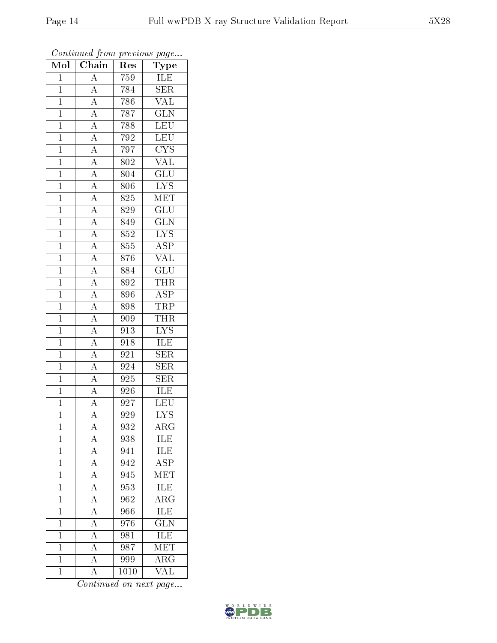| $\overline{\text{Mol}}$ | $\boldsymbol{\mathsf{v}}$<br>Chain                                                                                                                                                                                                                                                                                                           | Res              | $\mathbf{r}$<br>$\cdot$<br>${\bf Type}$    |
|-------------------------|----------------------------------------------------------------------------------------------------------------------------------------------------------------------------------------------------------------------------------------------------------------------------------------------------------------------------------------------|------------------|--------------------------------------------|
| $\overline{1}$          | $\overline{A}$                                                                                                                                                                                                                                                                                                                               | 759              | ILE                                        |
| $\overline{1}$          | $\overline{A}$                                                                                                                                                                                                                                                                                                                               | 784              | $\overline{\text{SER}}$                    |
| $\overline{1}$          | $\frac{\overline{A}}{\overline{A}}$                                                                                                                                                                                                                                                                                                          | 786              | $\overline{\text{VAL}}$                    |
| $\mathbf{1}$            |                                                                                                                                                                                                                                                                                                                                              | 787              | $\overline{\text{GLN}}$                    |
| $\overline{1}$          |                                                                                                                                                                                                                                                                                                                                              | 788              | LEU                                        |
| $\overline{1}$          |                                                                                                                                                                                                                                                                                                                                              | 792              | $\overline{\text{LEU}}$                    |
| $\overline{1}$          |                                                                                                                                                                                                                                                                                                                                              | 797              | $\overline{\text{C} \text{YS}}$            |
| $\mathbf{1}$            |                                                                                                                                                                                                                                                                                                                                              | 802              | <b>VAL</b>                                 |
| $\mathbf{1}$            |                                                                                                                                                                                                                                                                                                                                              | 804              | $\overline{\text{GLU}}$                    |
| $\overline{1}$          |                                                                                                                                                                                                                                                                                                                                              | 806              | $\overline{\text{LYS}}$                    |
| $\mathbf{1}$            |                                                                                                                                                                                                                                                                                                                                              | 825              | MET                                        |
| $\overline{1}$          |                                                                                                                                                                                                                                                                                                                                              | 829              | $\overline{\mathrm{GLU}}$                  |
| $\overline{1}$          |                                                                                                                                                                                                                                                                                                                                              | 849              | $\overline{GLN}$                           |
| $\mathbf{1}$            | $\frac{\overline{A}}{\overline{A}}\frac{\overline{A}}{\overline{A}}\frac{\overline{A}}{\overline{A}}\frac{\overline{A}}{\overline{A}}\frac{\overline{A}}{\overline{A}}\frac{\overline{A}}{\overline{A}}\frac{\overline{A}}{\overline{A}}\frac{\overline{A}}{\overline{A}}\frac{\overline{A}}{\overline{A}}\frac{\overline{A}}{\overline{A}}$ | 852              | <b>LYS</b>                                 |
| $\overline{1}$          |                                                                                                                                                                                                                                                                                                                                              | 855              | <b>ASP</b>                                 |
| $\overline{1}$          |                                                                                                                                                                                                                                                                                                                                              | 876              | <b>VAL</b>                                 |
| $\overline{1}$          |                                                                                                                                                                                                                                                                                                                                              | 884              | $\overline{\text{GLU}}$                    |
| $\mathbf{1}$            |                                                                                                                                                                                                                                                                                                                                              | 892              | $\frac{\overline{\text{THR}}}{\text{ASP}}$ |
| $\mathbf{1}$            |                                                                                                                                                                                                                                                                                                                                              | 896              |                                            |
| $\mathbf{1}$            |                                                                                                                                                                                                                                                                                                                                              | 898              | <b>TRP</b>                                 |
| $\overline{1}$          |                                                                                                                                                                                                                                                                                                                                              | 909              | <b>THR</b>                                 |
| $\overline{1}$          |                                                                                                                                                                                                                                                                                                                                              | 913              | $\frac{\text{LYS}}{\text{ILE}}$            |
| $\mathbf 1$             |                                                                                                                                                                                                                                                                                                                                              | 918              |                                            |
| $\overline{1}$          |                                                                                                                                                                                                                                                                                                                                              | 921              | $\overline{\text{SER}}$                    |
| $\mathbf 1$             | $\overline{A}$                                                                                                                                                                                                                                                                                                                               | 924              | SER                                        |
| $\overline{1}$          |                                                                                                                                                                                                                                                                                                                                              | 925              | <b>SER</b>                                 |
| $\mathbf{1}$            | $\frac{\overline{A}}{\overline{A}}$                                                                                                                                                                                                                                                                                                          | 926              | ILE                                        |
| $\mathbf{1}$            |                                                                                                                                                                                                                                                                                                                                              | 927              | LEU                                        |
| $\mathbf 1$             | $\overline{\rm A}$                                                                                                                                                                                                                                                                                                                           | 929              | $\overline{\text{LYS}}$                    |
| $\mathbf{1}$            | A                                                                                                                                                                                                                                                                                                                                            | 932              | $\rm{ARG}$                                 |
| $\mathbf{1}$            | A                                                                                                                                                                                                                                                                                                                                            | 938              | ILE                                        |
| $\overline{1}$          |                                                                                                                                                                                                                                                                                                                                              | 941              | ILE                                        |
| $\mathbf{1}$            | $\frac{\overline{A}}{\overline{A}}$                                                                                                                                                                                                                                                                                                          | 942              | $\overline{\text{ASP}}$                    |
| $\mathbf{1}$            |                                                                                                                                                                                                                                                                                                                                              | $9\overline{45}$ | $\overline{\text{MET}}$                    |
| $\mathbf{1}$            | $\frac{1}{\underline{A}}$                                                                                                                                                                                                                                                                                                                    | 953              | ILE                                        |
| $\overline{1}$          |                                                                                                                                                                                                                                                                                                                                              | $\overline{962}$ | $\overline{\rm{ARG}}$                      |
| $\mathbf{1}$            | $\frac{\overline{A}}{\overline{A}}$                                                                                                                                                                                                                                                                                                          | 966              | ILE                                        |
| $\mathbf{1}$            |                                                                                                                                                                                                                                                                                                                                              | 976              | $\overline{\text{GLN}}$                    |
| $\mathbf 1$             | $\overline{A}$                                                                                                                                                                                                                                                                                                                               | 981              | ILE                                        |
| $\mathbf{1}$            | $\overline{A}$                                                                                                                                                                                                                                                                                                                               | 987              | MET                                        |
| $\mathbf{1}$            | $\overline{A}$                                                                                                                                                                                                                                                                                                                               | 999              | $\overline{\rm{ARG}}$                      |
| $\mathbf{1}$            | $\rm A$                                                                                                                                                                                                                                                                                                                                      | 1010             | $\overline{\text{VAL}}$                    |

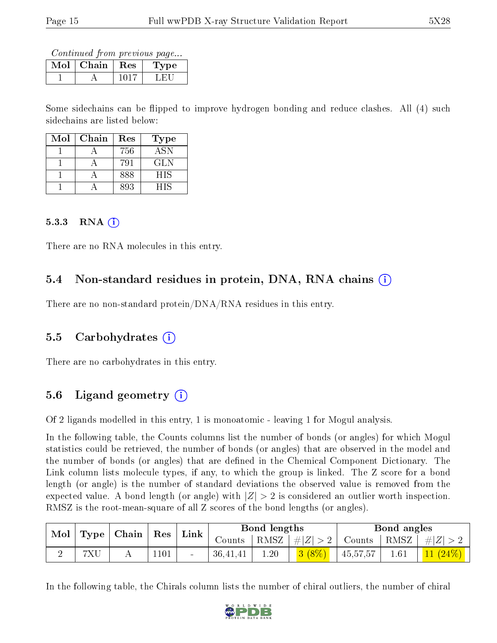| Mol | Chain | Res  | Type |
|-----|-------|------|------|
|     |       | HH S |      |

Some sidechains can be flipped to improve hydrogen bonding and reduce clashes. All (4) such sidechains are listed below:

| Mol | Chain | Res | <b>Type</b> |
|-----|-------|-----|-------------|
|     |       | 756 | ASN         |
|     |       | 791 | GL N        |
|     |       | 888 | <b>HIS</b>  |
|     |       | 893 | НIS         |

#### 5.3.3 RNA  $(i)$

There are no RNA molecules in this entry.

#### 5.4 Non-standard residues in protein, DNA, RNA chains (i)

There are no non-standard protein/DNA/RNA residues in this entry.

#### 5.5 Carbohydrates (i)

There are no carbohydrates in this entry.

#### 5.6 Ligand geometry  $(i)$

Of 2 ligands modelled in this entry, 1 is monoatomic - leaving 1 for Mogul analysis.

In the following table, the Counts columns list the number of bonds (or angles) for which Mogul statistics could be retrieved, the number of bonds (or angles) that are observed in the model and the number of bonds (or angles) that are defined in the Chemical Component Dictionary. The Link column lists molecule types, if any, to which the group is linked. The Z score for a bond length (or angle) is the number of standard deviations the observed value is removed from the expected value. A bond length (or angle) with  $|Z| > 2$  is considered an outlier worth inspection. RMSZ is the root-mean-square of all Z scores of the bond lengths (or angles).

| $\bf{Mol}$<br>Type |     | Chain | $\operatorname{Res}$ | $\lq$ Link |          | Bond lengths |        |                 | Bond angles |            |
|--------------------|-----|-------|----------------------|------------|----------|--------------|--------|-----------------|-------------|------------|
|                    |     |       |                      | Counts     | RMSZ     | #Z  > 2      | Counts | $ RMSZ  \#  Z $ |             |            |
|                    | 7XU |       | 1101                 |            | 36,41,41 | 1.20         | 3(8%)  | 45,57,57        | 1.61        | $11(24\%)$ |

In the following table, the Chirals column lists the number of chiral outliers, the number of chiral

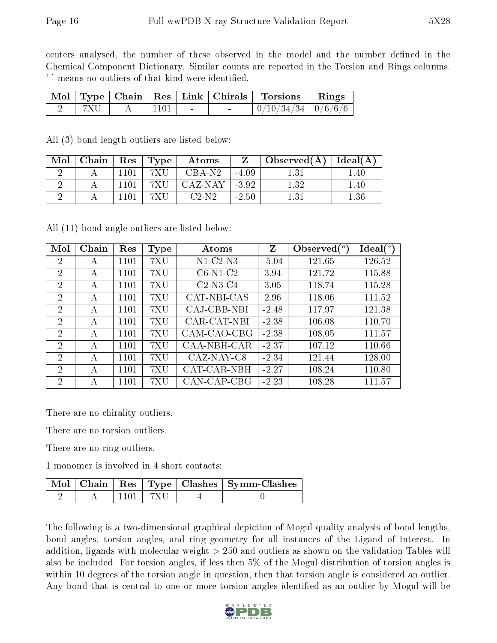centers analysed, the number of these observed in the model and the number defined in the Chemical Component Dictionary. Similar counts are reported in the Torsion and Rings columns. '-' means no outliers of that kind were identified.

|     |                  |        | Mol   Type   Chain   Res   Link   Chirals   Torsions   Rings |  |
|-----|------------------|--------|--------------------------------------------------------------|--|
| 7XU | $\frac{1101}{ }$ | $\sim$ | $\mid 0/10/34/34 \mid 0/6/6/6 \mid$                          |  |

All (3) bond length outliers are listed below:

| Mol | Chain |      | Res   Type | Atoms    |         | . Observed(A) $\perp$ | $ $ Ideal( $A$ ) |
|-----|-------|------|------------|----------|---------|-----------------------|------------------|
|     |       |      | 7 X L      | $CBA-N2$ | $-4.09$ |                       | .40              |
|     |       | 1101 | 7XU        | CAZ-NAY  | $-3.92$ | 1.32                  | .40              |
|     |       |      |            | $C2-N2$  | $-2.50$ |                       | .36              |

All (11) bond angle outliers are listed below:

| Mol            | Chain | Res  | <b>Type</b> | Atoms       | Z       | Observed $(^\circ)$ | Ideal $(^\circ)$ |
|----------------|-------|------|-------------|-------------|---------|---------------------|------------------|
| 2              | А     | 1101 | 7XU         | $N1-C2-N3$  | $-5.04$ | 121.65              | 126.52           |
| $\overline{2}$ | A     | 1101 | 7XU         | $C6-N1-C2$  | 3.94    | 121.72              | 115.88           |
| $\overline{2}$ | А     | 1101 | 7XU         | $C2-N3-C4$  | 3.05    | 118.74              | 115.28           |
| $\overline{2}$ | А     | 1101 | 7XU         | CAT-NBI-CAS | 2.96    | 118.06              | 111.52           |
| $\overline{2}$ | А     | 1101 | 7XU         | CAJ-CBB-NBI | $-2.48$ | 117.97              | 121.38           |
| $\overline{2}$ | А     | 1101 | 7XU         | CAR-CAT-NBI | $-2.38$ | 106.08              | 110.70           |
| $\overline{2}$ | А     | 1101 | 7XU         | CAM-CAO-CBG | $-2.38$ | 108.05              | 111.57           |
| $\overline{2}$ | А     | 1101 | 7XU         | CAA-NBH-CAR | $-2.37$ | 107.12              | 110.66           |
| 2              | А     | 1101 | 7XU         | CAZ-NAY-C8  | $-2.34$ | 121.44              | 128.00           |
| 2              | A     | 1101 | 7XU         | CAT-CAR-NBH | $-2.27$ | 108.24              | 110.80           |
| 2              | A     | 1101 | 7XU         | CAN-CAP-CBG | $-2.23$ | 108.28              | 111.57           |

There are no chirality outliers.

There are no torsion outliers.

There are no ring outliers.

1 monomer is involved in 4 short contacts:

|  |       | Mol   Chain   Res   Type   Clashes   Symm-Clashes |
|--|-------|---------------------------------------------------|
|  | ' 7XU |                                                   |

The following is a two-dimensional graphical depiction of Mogul quality analysis of bond lengths, bond angles, torsion angles, and ring geometry for all instances of the Ligand of Interest. In addition, ligands with molecular weight > 250 and outliers as shown on the validation Tables will also be included. For torsion angles, if less then 5% of the Mogul distribution of torsion angles is within 10 degrees of the torsion angle in question, then that torsion angle is considered an outlier. Any bond that is central to one or more torsion angles identified as an outlier by Mogul will be

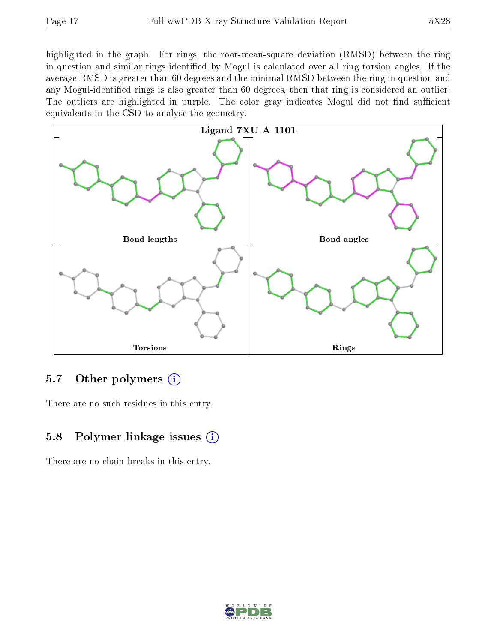highlighted in the graph. For rings, the root-mean-square deviation (RMSD) between the ring in question and similar rings identified by Mogul is calculated over all ring torsion angles. If the average RMSD is greater than 60 degrees and the minimal RMSD between the ring in question and any Mogul-identified rings is also greater than 60 degrees, then that ring is considered an outlier. The outliers are highlighted in purple. The color gray indicates Mogul did not find sufficient equivalents in the CSD to analyse the geometry.



### 5.7 [O](https://www.wwpdb.org/validation/2017/XrayValidationReportHelp#nonstandard_residues_and_ligands)ther polymers  $(i)$

There are no such residues in this entry.

### 5.8 Polymer linkage issues  $(i)$

There are no chain breaks in this entry.

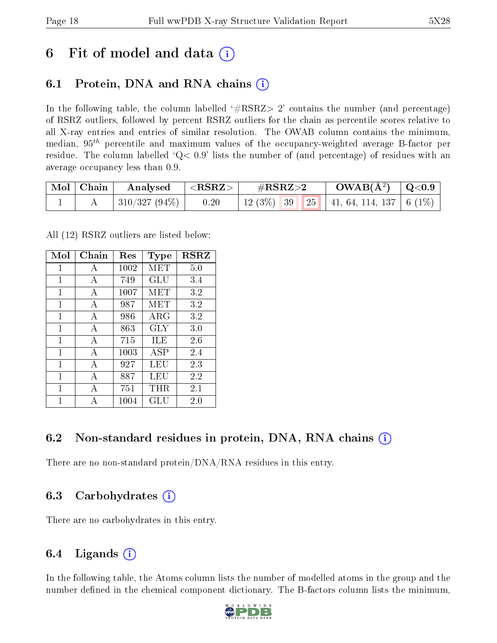# 6 Fit of model and data  $(i)$

## 6.1 Protein, DNA and RNA chains (i)

In the following table, the column labelled  $#RSRZ>2'$  contains the number (and percentage) of RSRZ outliers, followed by percent RSRZ outliers for the chain as percentile scores relative to all X-ray entries and entries of similar resolution. The OWAB column contains the minimum, median,  $95<sup>th</sup>$  percentile and maximum values of the occupancy-weighted average B-factor per residue. The column labelled  $Q< 0.9$  lists the number of (and percentage) of residues with an average occupancy less than 0.9.

| $\mid$ Mol $\mid$ Chain | Analysed                    | $^+$ <rsrz> <math>^-</math></rsrz> | $\#\text{RSRZ}\text{>2}$ | $\rm_{OWAB(A^2)}$   Q<0.9       |  |
|-------------------------|-----------------------------|------------------------------------|--------------------------|---------------------------------|--|
|                         | $\mid$ 310/327 (94%) $\mid$ | 0.20                               | $12(3\%)$ 39             | 25   41, 64, 114, 137   6 (1\%) |  |

All (12) RSRZ outliers are listed below:

| Mol | Chain        | Res  | Type       | $_{\rm RSRZ}$ |
|-----|--------------|------|------------|---------------|
| 1   | A            | 1002 | MET        | 5.0           |
| 1   | А            | 749  | GLU        | 3.4           |
| 1   | A            | 1007 | MET        | 3.2           |
| 1   | А            | 987  | MET        | 3.2           |
| 1   | A            | 986  | ARG        | 3.2           |
| 1   | А            | 863  | <b>GLY</b> | 3.0           |
| 1   | $\mathbf{A}$ | 715  | ILE        | 2.6           |
| 1   | $\mathbf{A}$ | 1003 | ASP        | 2.4           |
| 1   | А            | 927  | LEU        | 2.3           |
| 1   | А            | 887  | LEU        | 2.2           |
| 1   | A            | 751  | THR.       | 2.1           |
| 1   |              | 1004 | GLU        | 2.0           |

### 6.2 Non-standard residues in protein, DNA, RNA chains  $(i)$

There are no non-standard protein/DNA/RNA residues in this entry.

### 6.3 Carbohydrates (i)

There are no carbohydrates in this entry.

## 6.4 Ligands  $(i)$

In the following table, the Atoms column lists the number of modelled atoms in the group and the number defined in the chemical component dictionary. The B-factors column lists the minimum,